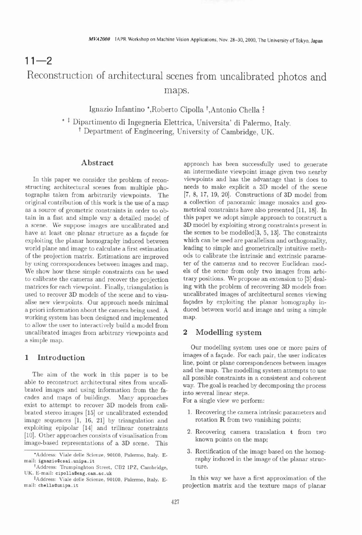## $11 - 2$ Reconstruction of architectural scenes from uncalibrated photos and maps.

Ignazio Infantino \*,Roberto Cipolla <sup>†</sup>,Antonio Chella <sup>†</sup>

\* 1 Dipartimento di Ingegneria Elettrica, Universita' di Palermo, Italy. t Department of Engineering, University of Cambridge, UK.

### **Abstract**

In this paper we consider the problem of reconstructing architectural scenes from multiple photographs taken from arbitrarily viewpoints. The original contribution of this work is the use of a map as a source of geometric constraints in order to obtain in a fast and simple way a detailed model of a scene. We suppose images are uncalibrated and have at least one planar structure as a faqade for exploiting the planar homography induced between world plane and image to calculate a first estimation of the projection matrix. Estimations are improved by using correspondences between images and map. We show how these simple constraints can be used to calibrate the cameras and recover the projection matrices for each viewpoint. Finally, triangulation is used to recover 3D models of the scene and to visualise new viewpoints. Our approach needs minimal a priori information about the camera being used. **A**  working system has been designed and implemented to allow the user to interactively build a model from uncalibrated images from arbitrary viewpoints and a simple map.

### **1 Introduction**

The aim of the work in this paper is to be able to reconstruct architectural sites from uncalibrated images and using information from the facades and maps of buildings. Many approaches exist to attempt to recover 3D models from calibrated stereo images [15] or uncalibrated extended image sequences  $[1, 16, 21]$  by triangulation and exploiting epipolar  $[14]$  and trilinear constraints 2. Recovering camera translation  $t$  from two  $[10]$ . Other approaches consists of visualisation from [lo]. Other approaches consists of visualisation from known points on the map; image-based representations of a 3D scene. This

approach has been successfully used to generate an intermediate viewpoint image given two nearby viewpoints and has the advantage that is does to needs to make explicit a 3D model of the scene [7, 8, 17, 19, 20]. Constructions of 3D model from a collection of panoramic image mosaics and geometrical constraints have also presented [11, 18]. In this paper we adopt simple approach to construct a 3D model by exploiting strong constraints present in the scenes to be modelled $[3, 5, 13]$ . The constraints which can be used are parallelism and orthogonality, leading to simple and geometrically intuitive methods to calibrate the intrinsic and extrinsic parameter of the cameras and to recover Euclidean models of the scene from only two images from arbitrary positions. We propose an extension to **[3]** dealing with the problem of recovering 3D models from uncalibrated images of architectural scenes viewing faqades by exploiting the planar homography induced between world and image and using a simple map.

### **2 Modelling system**

Our modelling system uses one or more pairs of images of a faqade. For each pair, the user indicates line, point or plane correspondences between images and the map. The modelling system attempts to use all possible constraints in a consistent and coherent way. The goal is reached by decomposing the process into several linear steps.

For a single view we perform:

- 1. Recovering the camera intrinsic parameters and rotation **R** from two vanishing points;
- 
- **'Address: Viale delle Scienze, 90100, Palermo, Italy. E-** 3. Rectification of the image based on the homog-mail: **ignazio@csai**.unipa.it **3.** Rectification of the image of the planar strucraphy induced in the image of the planar struc-<br>ture.

<sup>#</sup>Address: Viale delle Scienze, 90100, Palermo, Italy. E- In this way we have a first approximation of the mail: chella@unipa.it **bella@unipa.it** projection matrix and the texture maps of planar projection matrix and the texture maps of planar

<sup>&</sup>lt;sup>†</sup>Address: Trumpinghton Street, CB2 1PZ, Cambridge, **UK. E-mail: cipollaaeng. cam.ac .uk**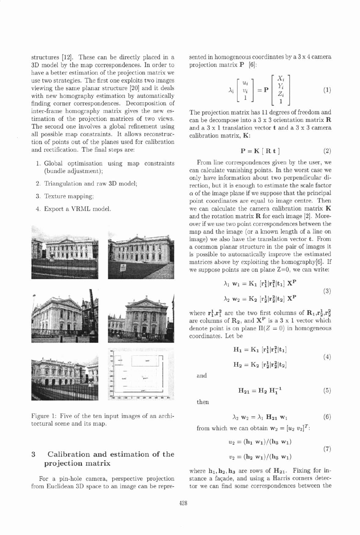structures [12]. These can be directly placed in a **3D** model by the map correspondences. In order to have a better estimation of the projection matrix we use two strategies. The first one exploits two images viewing the same planar structure [20] and it deals with new homography estimation by automatically finding corner correspondences. Decomposition of inter-frame homography matrix gives the new estimation of the projection matrices of two views. The second one involves a global refinement using all possible map constraints. It allows reconstruction of points out of the planes used for calibration and rectification. The final steps are:

- 1. Global optimisation using map constraints (bundle adjustment);
- 2. Triangulation and raw **3D** model;
- **3.** Texture mapping;
- 4. Export a VRML model.



Figure 1: Five of the ten input images of an architectural scene and its map.

# **3** Calibration and estimation of the  $v_2 = (\mathbf{h}_2 \mathbf{w}_1)/(\mathbf{h}_3 \mathbf{w}_1)$  (7) **projection matrix**

from Euclidean 3D space to an image can be repre-

sented in homogeneous coordinates by a **3** x **4** camera projection matrix P [6]:

$$
\lambda_i \left[ \begin{array}{c} u_i \\ v_i \\ 1 \end{array} \right] = \mathbf{P} \left[ \begin{array}{c} X_i \\ Y_i \\ Z_i \\ 1 \end{array} \right] \tag{1}
$$

The projection matrix has 11 degrees of freedom and can be decompose into a **3** x **3** orientation matrix R and a **3** x 1 translation vector t and a **3** x **3** camera calibration matrix, K:

$$
\mathbf{P} = \mathbf{K} [\mathbf{R} \mathbf{t}] \tag{2}
$$

From line correspondences given by the user, we can calculate vanishing points. In the worst case we only have information about two perpendicular direction, but it is enough to estimate the scale factor  $\alpha$  of the image plane if we suppose that the principal point coordinates are equal to image centre. Then we can calculate the camera calibration matrix K and the rotation matrix  **for each image [2]. More**over if we use two point correspondences between the map and the image (or a known length of a line on image) we also have the translation vector t. From a common planar structure in the pair of images it is possible to automatically improve the estimated matrices above by exploiting the homography[6]. If we suppose points are on plane  $Z=0$ , we can write:

$$
\lambda_1 \mathbf{w}_1 = \mathbf{K}_1 \left[ \mathbf{r}_1^1 | \mathbf{r}_1^2 | \mathbf{t}_1 \right] \mathbf{X}^{\mathbf{P}} \n\lambda_2 \mathbf{w}_2 = \mathbf{K}_2 \left[ \mathbf{r}_2^1 | \mathbf{r}_2^2 | \mathbf{t}_2 \right] \mathbf{X}^{\mathbf{P}}
$$
\n(3)

where  $\mathbf{r}_1^1, \mathbf{r}_1^2$  are the two first columns of  $\mathbf{R}_1, \mathbf{r}_2^1, \mathbf{r}_2^2$ are columns of R2, and **XP** is a **3** x 1 vector which denote point is on plane  $\Pi(Z = 0)$  in homogeneous coordinates. Let be

$$
H_1 = K_1 [r_1^1|r_1^2|t_1]
$$
  
\n
$$
H_2 = K_2 [r_2^1|r_2^2|t_2]
$$
\n(4)

and

$$
H_{21} = H_2 \ H_1^{-1} \qquad \qquad (5)
$$

then

$$
\lambda_2 \mathbf{w}_2 = \lambda_1 \mathbf{H}_{21} \mathbf{w}_1 \tag{6}
$$

from which we can obtain  $\mathbf{w}_2 = [u_2 \ v_2]^T$ :

$$
u_2 = (\mathbf{h}_1 \ \mathbf{w}_1) / (\mathbf{h}_3 \ \mathbf{w}_1)
$$
  

$$
v_2 = (\mathbf{h}_2 \ \mathbf{w}_1) / (\mathbf{h}_3 \ \mathbf{w}_1)
$$
 (7)

where  $h_1, h_2, h_3$  are rows of  $H_{21}$ . Fixing for in-<br>stance a façade, and using a Harris corners detec-For a pin-hole camera, perspective projection stance a façade, and using a Harris corners detec-<br>Im Euclidean 3D space to an image can be repre-<br>In the cannot some correspondences between the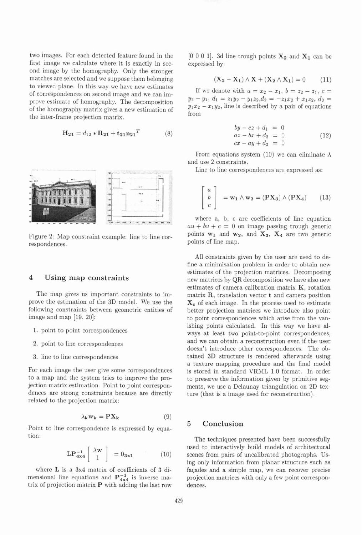two images. For each detected feature found in the  $[0\ 0\ 0\ 1]$ . 3d line trough points  $X_2$  and  $X_1$  can be first image we calculate where it is exactly in sec-<br>expressed by: first image we calculate where it is exactly in second image by the homography. Only the stronger matches are selected and we suppose them belonging to viewed plane. In this way we have new estimates<br>of correspondences on second image and we can im-<br>prove estimate of homography. The decomposition  $y_2 - y_1$ ,  $d_1 = z_1y_2 - y_1z_2$ ,  $d_2 = -z_1x_2 + x_1z_2$ ,  $d_3 =$ prove estimate of homography. The decomposition  $y_2 - y_1$ ,  $a_1 - z_1y_2 - y_1z_2$ ,  $a_2 - z_1x_2 + x_1z_2$ ,  $a_3 =$ <br>of the homography matrix gives a new estimation of  $y_1x_2 - x_1y_2$ , line is described by a pair of equations<br>the

$$
\mathbf{H}_{21} = d_{12} \ast \mathbf{R}_{21} + \mathbf{t}_{21} \mathbf{n}_{21}^T
$$
 (8)



respondences.

### **4 Using map constraints**

The map gives us important constraints to improve the estimation of the 3D model. We use the following constraints between geometric entities of image and map  $[19, 20]$ :

- 1. point to point correspondences
- **2.** point to line correspondences
- 3. line to line correspondences

For each image the user give some correspondences to a map and the system tries to improve the projection matrix estimation. Point to point correspondences are strong constraints because are directly related to the projection matrix:

$$
\lambda_{\mathbf{k}} \mathbf{w}_{\mathbf{k}} = \mathbf{P} \mathbf{X}_{\mathbf{k}} \tag{9}
$$

**Foint to line correspondence is expressed by equa-<br>
<b>5** Conclusion tion: The techniques presented have been successfully

$$
\mathbf{LP}_{4\times 4}^{-1} \left[ \begin{array}{c} \lambda \mathbf{w} \\ 1 \end{array} \right] = 0_{3\times 1} \tag{10}
$$

mensional line equations and  $P_{4x4}^{-1}$  is inverse ma-<br>projection matrices with only a few point correspontrix of projection matrix P with adding the last row dences.

$$
(X_2 - X_1) \wedge X + (X_2 \wedge X_1) = 0 \tag{11}
$$

$$
by - cz + d_1 = 0\naz - bx + d_2 = 0\ncx - ay + d_3 = 0
$$
\n(12)

From equations system (10) we can eliminate  $\lambda$ and use 2 constraints.<br>Line to line correspondences are expressed as:

$$
\begin{bmatrix} a \\ b \\ c \end{bmatrix} = \mathbf{w_1} \wedge \mathbf{w_2} = (\mathbf{P} \mathbf{X_3}) \wedge (\mathbf{P} \mathbf{X_4}) \qquad (13)
$$

where a, b, c are coefficients of line equation  $au + bv + c = 0$  on image passing trough generic Figure 2: Map constraint example: line to line cor-<br>points  $w_1$  and  $w_2$ , and  $X_3$ ,  $X_4$  are two generic<br>points of line map.

> All constraints given by the user are used to define a minimisation problem in order to obtain new estimates of the projection matrices. Decomposing new matrices by QR decomposition we have also new estimates of camera calibration matrix K, rotation matrix R, translation vector **t** and camera position  $X_c$  of each image. In the process used to estimate better projection matrices we introduce also point to point correspondences which arise from the vanishing points calculated. In this way we have always at least two point-to-point correspondences, and we can obtain a reconstruction even if the user doesn't introduce other correspondences. The obtained 3D structure is rendered afterwards using a texture mapping procedure and the final model is stored in standard VRML 1.0 format. In order to preserve the information given by primitive segments, we use a Delaunay triangulation on 2D texture (that is a image used for reconstruction).

used to interactively build models of architectural scenes from pairs of uncalibrated photographs. Using only information from planar structure such as where  $L$  is a 3x4 matrix of coefficients of 3 di-<br>façades and a simple map, we can recover precise